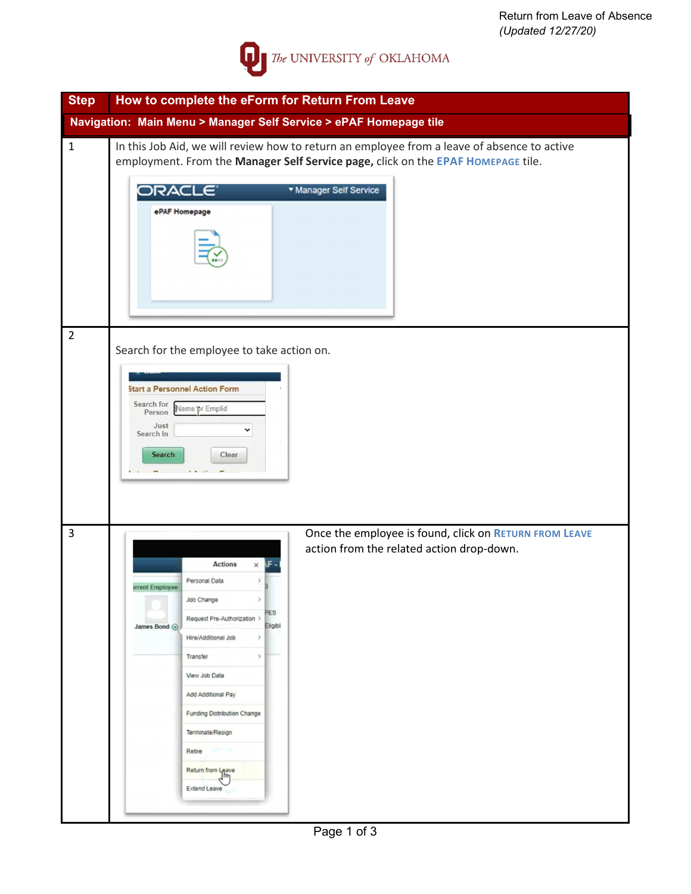

| <b>Step</b>    | How to complete the eForm for Return From Leave                                                                                                                                                                                                                                                                                                                                                                                                                                          |
|----------------|------------------------------------------------------------------------------------------------------------------------------------------------------------------------------------------------------------------------------------------------------------------------------------------------------------------------------------------------------------------------------------------------------------------------------------------------------------------------------------------|
|                | Navigation: Main Menu > Manager Self Service > ePAF Homepage tile                                                                                                                                                                                                                                                                                                                                                                                                                        |
| $\mathbf{1}$   | In this Job Aid, we will review how to return an employee from a leave of absence to active<br>employment. From the Manager Self Service page, click on the EPAF HOMEPAGE tile.<br>* Manager Self Service<br>ORACLE<br>ePAF Homepage                                                                                                                                                                                                                                                     |
| $\overline{2}$ | Search for the employee to take action on.<br><b>Start a Personnel Action Form</b><br>Search for<br>Name or Emplid<br>Person<br>Just<br>v<br>Search In<br><b>Search</b><br>Clear                                                                                                                                                                                                                                                                                                         |
| 3              | Once the employee is found, click on RETURN FROM LEAVE<br>action from the related action drop-down.<br><b>Actions</b><br>$\times$ IF<br>Personal Data<br><b>Irrent Employee</b><br>Job Change<br>$\rightarrow$<br>PES<br>Request Pre-Authorization ><br>Eligibl<br>James Bond (O)<br>Hire/Additional Job<br>-><br>$\,$<br>Transfer<br>View Job Data<br>Add Additional Pay<br><b>Funding Distribution Change</b><br>Terminate/Resign<br>Retire<br>Return from Leave<br> m<br>Extend Leave |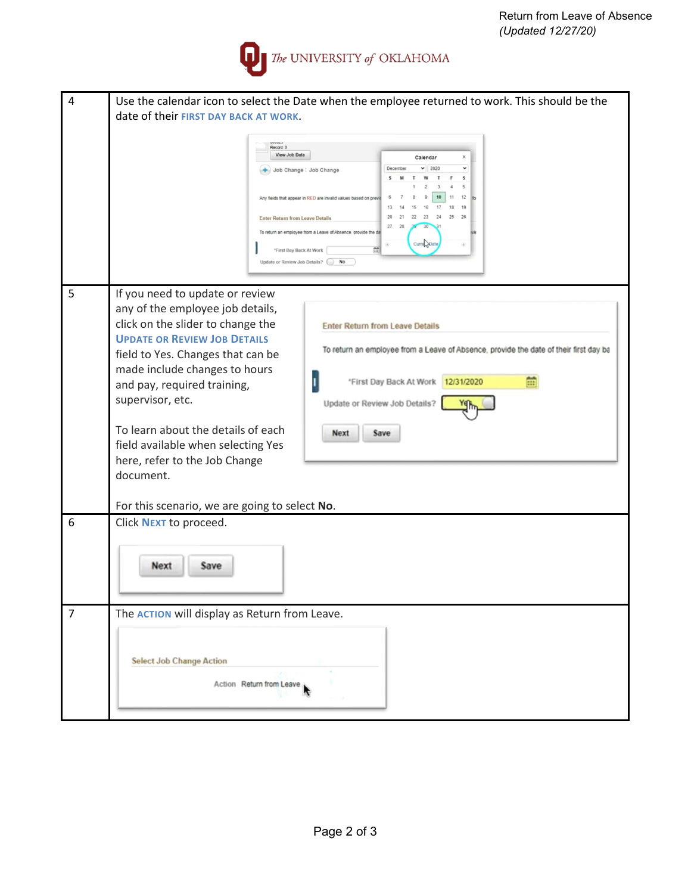

| 4              | Use the calendar icon to select the Date when the employee returned to work. This should be the<br>date of their FIRST DAY BACK AT WORK.<br>Record: 0<br>View Job Data<br>Calendar<br>2020<br>v<br>December<br>Job Change : Job Change<br>F<br>s<br>12<br>Any fields that appear in RED are invalid values based on prev<br>13<br>22<br>23<br>24<br>25<br>26<br><b>Enter Return from Leave Details</b><br>27<br>To return an employee from a Leave of Absence, provide the da<br>Curre <sub>nt</sub> Date                                                                                                                                                                                    |
|----------------|----------------------------------------------------------------------------------------------------------------------------------------------------------------------------------------------------------------------------------------------------------------------------------------------------------------------------------------------------------------------------------------------------------------------------------------------------------------------------------------------------------------------------------------------------------------------------------------------------------------------------------------------------------------------------------------------|
|                | *First Day Back At Work<br>Update or Review Job Details?<br>No                                                                                                                                                                                                                                                                                                                                                                                                                                                                                                                                                                                                                               |
| 5              | If you need to update or review<br>any of the employee job details,<br>click on the slider to change the<br><b>Enter Return from Leave Details</b><br><b>UPDATE OR REVIEW JOB DETAILS</b><br>To return an employee from a Leave of Absence, provide the date of their first day ba<br>field to Yes. Changes that can be<br>made include changes to hours<br>m<br>*First Day Back At Work<br>12/31/2020<br>and pay, required training,<br>supervisor, etc.<br>Update or Review Job Details?<br>To learn about the details of each<br><b>Next</b><br>Save<br>field available when selecting Yes<br>here, refer to the Job Change<br>document.<br>For this scenario, we are going to select No. |
| 6              | Click NEXT to proceed.<br>Next<br>Save                                                                                                                                                                                                                                                                                                                                                                                                                                                                                                                                                                                                                                                       |
| $\overline{7}$ | The <b>ACTION</b> will display as Return from Leave.<br><b>Select Job Change Action</b><br>Action Return from Leave                                                                                                                                                                                                                                                                                                                                                                                                                                                                                                                                                                          |